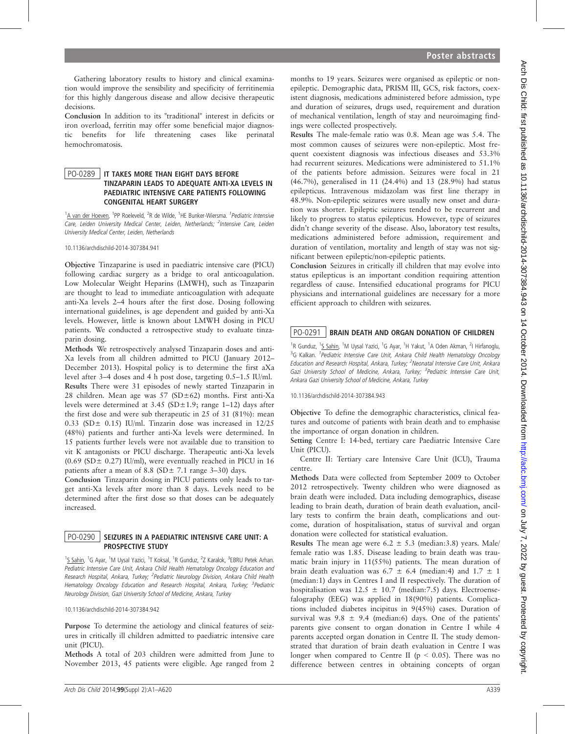Gathering laboratory results to history and clinical examination would improve the sensibility and specificity of ferritinemia for this highly dangerous disease and allow decisive therapeutic decisions.

Conclusion In addition to its "traditional" interest in deficits or iron overload, ferritin may offer some beneficial major diagnostic benefits for life threatening cases like perinatal hemochromatosis.

#### PO-0289 IT TAKES MORE THAN EIGHT DAYS BEFORE TINZAPARIN LEADS TO ADEQUATE ANTI-XA LEVELS IN PAEDIATRIC INTENSIVE CARE PATIENTS FOLLOWING CONGENITAL HEART SURGERY

<sup>1</sup>A van der Hoeven, <sup>1</sup>PP Roeleveld, <sup>2</sup>R de Wilde, <sup>1</sup>HE Bunker-Wiersma. <sup>1</sup> Pediatric Intensive Care, Leiden University Medical Center, Leiden, Netherlands; <sup>2</sup>Intensive Care, Leiden University Medical Center, Leiden, Netherlands

10.1136/archdischild-2014-307384.941

Objective Tinzaparine is used in paediatric intensive care (PICU) following cardiac surgery as a bridge to oral anticoagulation. Low Molecular Weight Heparins (LMWH), such as Tinzaparin are thought to lead to immediate anticoagulation with adequate anti-Xa levels 2–4 hours after the first dose. Dosing following international guidelines, is age dependent and guided by anti-Xa levels. However, little is known about LMWH dosing in PICU patients. We conducted a retrospective study to evaluate tinzaparin dosing.

Methods We retrospectively analysed Tinzaparin doses and anti-Xa levels from all children admitted to PICU (January 2012– December 2013). Hospital policy is to determine the first aXa level after 3–4 doses and 4 h post dose, targeting 0.5–1.5 IU/ml. Results There were 31 episodes of newly started Tinzaparin in 28 children. Mean age was 57 (SD±62) months. First anti-Xa levels were determined at  $3.45$  (SD $\pm$ 1.9; range 1–12) days after the first dose and were sub therapeutic in 25 of 31 (81%): mean 0.33 (SD $\pm$  0.15) IU/ml. Tinzarin dose was increased in 12/25 (48%) patients and further anti-Xa levels were determined. In 15 patients further levels were not available due to transition to vit K antagonists or PICU discharge. Therapeutic anti-Xa levels (0.69 (SD $\pm$  0.27) IU/ml), were eventually reached in PICU in 16 patients after a mean of 8.8 (SD $\pm$  7.1 range 3–30) days.

Conclusion Tinzaparin dosing in PICU patients only leads to target anti-Xa levels after more than 8 days. Levels need to be determined after the first dose so that doses can be adequately increased.

### PO-0290 SEIZURES IN A PAEDIATRIC INTENSIVE CARE UNIT: A PROSPECTIVE STUDY

<sup>1</sup>S Sahin, <sup>1</sup>G Ayar, <sup>1</sup>M Uysal Yazici, <sup>1</sup>T Koksal, <sup>1</sup>R Gunduz, <sup>2</sup>Z Karalok, <sup>3</sup>EBRU Petek Arhan. Pediatric Intensive Care Unit, Ankara Child Health Hematology Oncology Education and Research Hospital, Ankara, Turkey; <sup>2</sup> Pediatric Neurology Division, Ankara Child Health Hematology Oncology Education and Research Hospital, Ankara, Turkey; <sup>3</sup>Pediatric Neurology Division, Gazi University School of Medicine, Ankara, Turkey

10.1136/archdischild-2014-307384.942

Purpose To determine the aetiology and clinical features of seizures in critically ill children admitted to paediatric intensive care unit (PICU).

Methods A total of 203 children were admitted from June to November 2013, 45 patients were eligible. Age ranged from 2

months to 19 years. Seizures were organised as epileptic or nonepileptic. Demographic data, PRISM III, GCS, risk factors, coexistent diagnosis, medications administered before admission, type and duration of seizures, drugs used, requirement and duration of mechanical ventilation, length of stay and neuroimaging findings were collected prospectively.

Results The male-female ratio was 0.8. Mean age was 5.4. The most common causes of seizures were non-epileptic. Most frequent coexistent diagnosis was infectious diseases and 53.3% had recurrent seizures. Medications were administered to 51.1% of the patients before admission. Seizures were focal in 21 (46.7%), generalised in 11 (24.4%) and 13 (28.9%) had status epilepticus. Intravenous midazolam was first line therapy in 48.9%. Non-epileptic seizures were usually new onset and duration was shorter. Epileptic seizures tended to be recurrent and likely to progress to status epilepticus. However, type of seizures didn't change severity of the disease. Also, laboratory test results, medications administered before admission, requirement and duration of ventilation, mortality and length of stay was not significant between epileptic/non-epileptic patients.

Conclusion Seizures in critically ill children that may evolve into status epilepticus is an important condition requiring attention regardless of cause. Intensified educational programs for PICU physicians and international guidelines are necessary for a more efficient approach to children with seizures.

# PO-0291 | BRAIN DEATH AND ORGAN DONATION OF CHILDREN

<sup>1</sup>R Gunduz, <sup>1</sup>S Sahin, <sup>1</sup>M Uysal Yazici, <sup>1</sup>G Ayar, <sup>1</sup>H Yakut, <sup>1</sup>A Oden Akman, <sup>2</sup>I Hirfanoglu, <sup>3</sup>G Kalkan. <sup>1</sup>Pediatric Intensive Care Unit, Ankara Child Health Hematology Oncology Education and Research Hospital, Ankara, Turkey; <sup>2</sup>Neonatal Intensive Care Unit, Ankara Gazi University School of Medicine, Ankara, Turkey; <sup>3</sup> Pediatric Intensive Care Unit, Ankara Gazi University School of Medicine, Ankara, Turkey

#### 10.1136/archdischild-2014-307384.943

Objective To define the demographic characteristics, clinical features and outcome of patients with brain death and to emphasise the importance of organ donation in children.

Setting Centre I: 14-bed, tertiary care Paediatric Intensive Care Unit (PICU).

Centre II: Tertiary care Intensive Care Unit (ICU), Trauma centre.

Methods Data were collected from September 2009 to October 2012 retrospectively. Twenty children who were diagnosed as brain death were included. Data including demographics, disease leading to brain death, duration of brain death evaluation, ancillary tests to confirm the brain death, complications and outcome, duration of hospitalisation, status of survival and organ donation were collected for statistical evaluation.

Results The mean age were  $6.2 \pm 5.3$  (median: 3.8) years. Male/ female ratio was 1.85. Disease leading to brain death was traumatic brain injury in 11(55%) patients. The mean duration of brain death evaluation was 6.7  $\pm$  6.4 (median:4) and 1.7  $\pm$  1 (median:1) days in Centres I and II respectively. The duration of hospitalisation was  $12.5 \pm 10.7$  (median: 7.5) days. Electroensefalography (EEG) was applied in 18(90%) patients. Complications included diabetes incipitus in 9(45%) cases. Duration of survival was  $9.8 \pm 9.4$  (median:6) days. One of the patients' parents give consent to organ donation in Centre I while 4 parents accepted organ donation in Centre II. The study demonstrated that duration of brain death evaluation in Centre I was longer when compared to Centre II ( $p < 0.05$ ). There was no difference between centres in obtaining concepts of organ